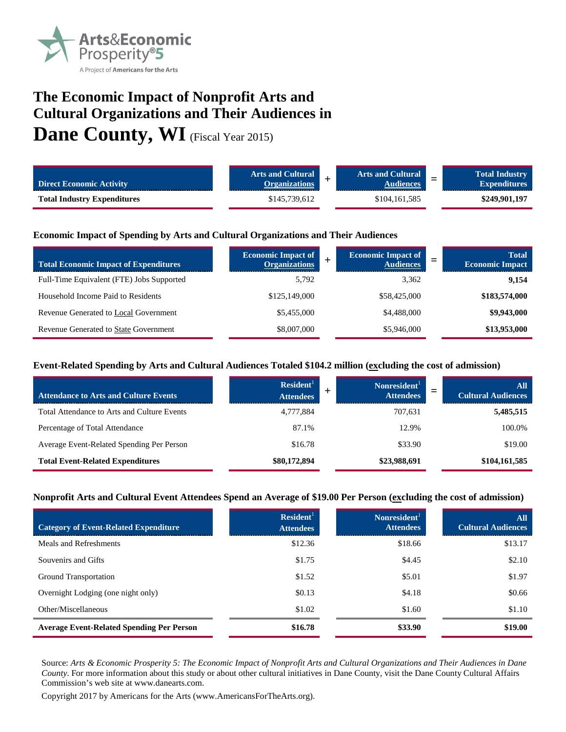

# **The Economic Impact of Nonprofit Arts and Cultural Organizations and Their Audiences in**

Dane County, WI (Fiscal Year 2015)

| <b>Direct Economic Activity</b>    | <b>Arts and Cultural</b><br><b>Organizations</b> | <b>Arts and Cultural</b><br><b>Audiences</b> | <b>Total Industry</b><br>-<br>–<br><b>Expenditures</b> |
|------------------------------------|--------------------------------------------------|----------------------------------------------|--------------------------------------------------------|
| <b>Total Industry Expenditures</b> | \$145.739.612                                    | \$104,161,585                                | \$249,901,197                                          |

#### **Economic Impact of Spending by Arts and Cultural Organizations and Their Audiences**

| <b>Total Economic Impact of Expenditures</b> | <b>Economic Impact of</b><br><b>Organizations</b> | <b>Economic Impact of</b><br><b>Audiences</b> | <b>Total</b><br><b>Economic Impact</b> |
|----------------------------------------------|---------------------------------------------------|-----------------------------------------------|----------------------------------------|
| Full-Time Equivalent (FTE) Jobs Supported    | 5.792                                             | 3,362                                         | 9,154                                  |
| Household Income Paid to Residents           | \$125,149,000                                     | \$58,425,000                                  | \$183,574,000                          |
| Revenue Generated to Local Government        | \$5,455,000                                       | \$4,488,000                                   | \$9,943,000                            |
| <b>Revenue Generated to State Government</b> | \$8,007,000                                       | \$5,946,000                                   | \$13,953,000                           |

#### **Event-Related Spending by Arts and Cultural Audiences Totaled \$104.2 million (excluding the cost of admission)**

| <b>Attendance to Arts and Culture Events</b> | Resident <sup>1</sup><br><b>Attendees</b> | Nonresident <sup>1</sup><br><b>Attendees</b> | All<br><b>Cultural Audiences</b> |
|----------------------------------------------|-------------------------------------------|----------------------------------------------|----------------------------------|
| Total Attendance to Arts and Culture Events  | 4.777.884                                 | 707.631                                      | 5,485,515                        |
| Percentage of Total Attendance               | 87.1%                                     | 12.9%                                        | 100.0%                           |
| Average Event-Related Spending Per Person    | \$16.78                                   | \$33.90                                      | \$19.00                          |
| <b>Total Event-Related Expenditures</b>      | \$80,172,894                              | \$23,988,691                                 | \$104,161,585                    |

#### **Nonprofit Arts and Cultural Event Attendees Spend an Average of \$19.00 Per Person (excluding the cost of admission)**

| <b>Category of Event-Related Expenditure</b>     | Resident <sup>1</sup><br><b>Attendees</b> | Nonresident <sup>1</sup><br><b>Attendees</b> | All<br><b>Cultural Audiences</b> |
|--------------------------------------------------|-------------------------------------------|----------------------------------------------|----------------------------------|
| Meals and Refreshments                           | \$12.36                                   | \$18.66                                      | \$13.17                          |
| Souvenirs and Gifts                              | \$1.75                                    | \$4.45                                       | \$2.10                           |
| Ground Transportation                            | \$1.52                                    | \$5.01                                       | \$1.97                           |
| Overnight Lodging (one night only)               | \$0.13                                    | \$4.18                                       | \$0.66                           |
| Other/Miscellaneous                              | \$1.02                                    | \$1.60                                       | \$1.10                           |
| <b>Average Event-Related Spending Per Person</b> | \$16.78                                   | \$33.90                                      | \$19.00                          |

Source: *Arts & Economic Prosperity 5: The Economic Impact of Nonprofit Arts and Cultural Organizations and Their Audiences in Dane County*. For more information about this study or about other cultural initiatives in Dane County, visit the Dane County Cultural Affairs Commission's web site at www.danearts.com.

Copyright 2017 by Americans for the Arts (www.AmericansForTheArts.org).